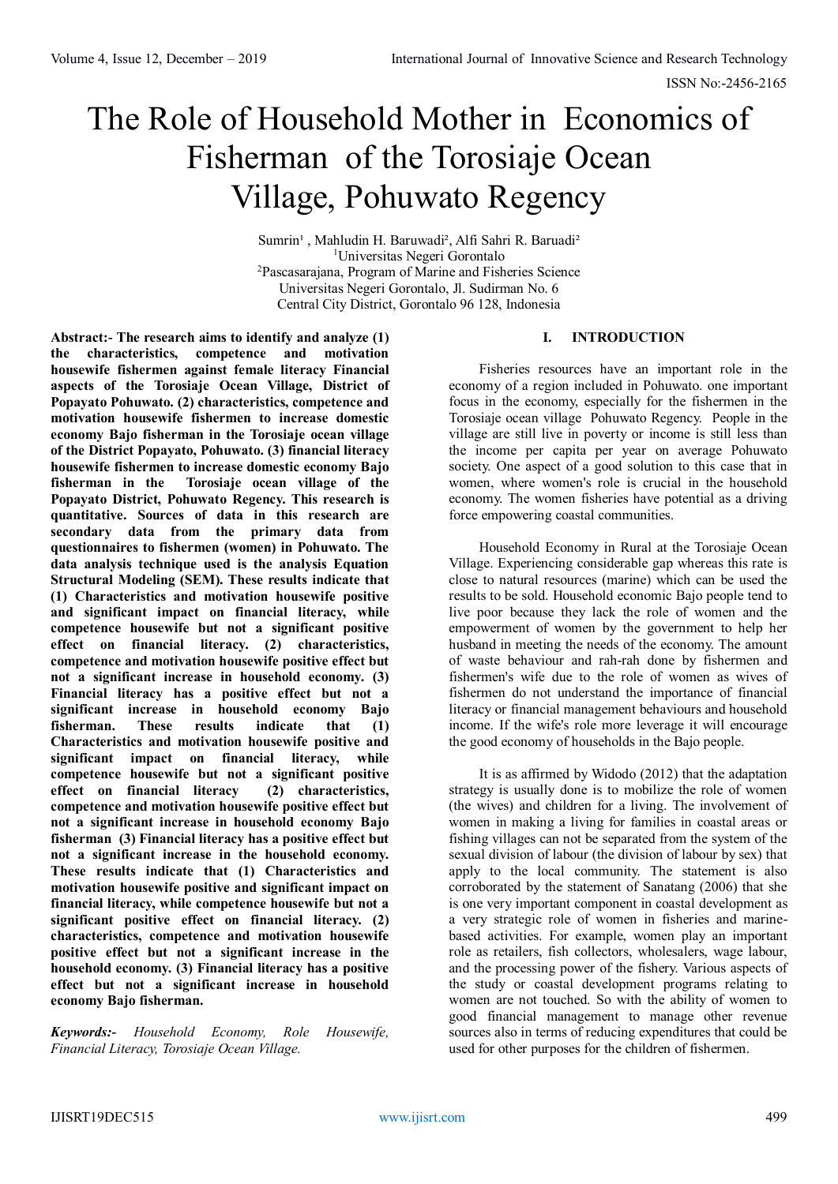# The Role of Household Mother in Economics of Fisherman of the Torosiaje Ocean Village, Pohuwato Regency

Sumrin<sup>1</sup>, Mahludin H. Baruwadi<sup>2</sup>, Alfi Sahri R. Baruadi<sup>2</sup> <sup>1</sup>Universitas Negeri Gorontalo <sup>2</sup>Pascasarajana, Program of Marine and Fisheries Science Universitas Negeri Gorontalo, Jl. Sudirman No. 6 Central City District, Gorontalo 96 128, Indonesia

**Abstract:- The research aims to identify and analyze (1) the characteristics, competence and motivation housewife fishermen against female literacy Financial aspects of the Torosiaje Ocean Village, District of Popayato Pohuwato. (2) characteristics, competence and motivation housewife fishermen to increase domestic economy Bajo fisherman in the Torosiaje ocean village of the District Popayato, Pohuwato. (3) financial literacy housewife fishermen to increase domestic economy Bajo fisherman in the Torosiaje ocean village of the Popayato District, Pohuwato Regency. This research is quantitative. Sources of data in this research are secondary data from the primary data from questionnaires to fishermen (women) in Pohuwato. The data analysis technique used is the analysis Equation Structural Modeling (SEM). These results indicate that (1) Characteristics and motivation housewife positive and significant impact on financial literacy, while competence housewife but not a significant positive effect on financial literacy. (2) characteristics, competence and motivation housewife positive effect but not a significant increase in household economy. (3) Financial literacy has a positive effect but not a significant increase in household economy Bajo fisherman. These results indicate that (1) Characteristics and motivation housewife positive and significant impact on financial literacy, while competence housewife but not a significant positive effect on financial literacy (2) characteristics, competence and motivation housewife positive effect but not a significant increase in household economy Bajo fisherman (3) Financial literacy has a positive effect but not a significant increase in the household economy. These results indicate that (1) Characteristics and motivation housewife positive and significant impact on financial literacy, while competence housewife but not a significant positive effect on financial literacy. (2) characteristics, competence and motivation housewife positive effect but not a significant increase in the household economy. (3) Financial literacy has a positive effect but not a significant increase in household economy Bajo fisherman.** 

*Keywords:- Household Economy, Role Housewife, Financial Literacy, Torosiaje Ocean Village.*

# **I. INTRODUCTION**

Fisheries resources have an important role in the economy of a region included in Pohuwato. one important focus in the economy, especially for the fishermen in the Torosiaje ocean village Pohuwato Regency. People in the village are still live in poverty or income is still less than the income per capita per year on average Pohuwato society. One aspect of a good solution to this case that in women, where women's role is crucial in the household economy. The women fisheries have potential as a driving force empowering coastal communities.

Household Economy in Rural at the Torosiaje Ocean Village. Experiencing considerable gap whereas this rate is close to natural resources (marine) which can be used the results to be sold. Household economic Bajo people tend to live poor because they lack the role of women and the empowerment of women by the government to help her husband in meeting the needs of the economy. The amount of waste behaviour and rah-rah done by fishermen and fishermen's wife due to the role of women as wives of fishermen do not understand the importance of financial literacy or financial management behaviours and household income. If the wife's role more leverage it will encourage the good economy of households in the Bajo people.

It is as affirmed by Widodo (2012) that the adaptation strategy is usually done is to mobilize the role of women (the wives) and children for a living. The involvement of women in making a living for families in coastal areas or fishing villages can not be separated from the system of the sexual division of labour (the division of labour by sex) that apply to the local community. The statement is also corroborated by the statement of Sanatang (2006) that she is one very important component in coastal development as a very strategic role of women in fisheries and marinebased activities. For example, women play an important role as retailers, fish collectors, wholesalers, wage labour, and the processing power of the fishery. Various aspects of the study or coastal development programs relating to women are not touched. So with the ability of women to good financial management to manage other revenue sources also in terms of reducing expenditures that could be used for other purposes for the children of fishermen.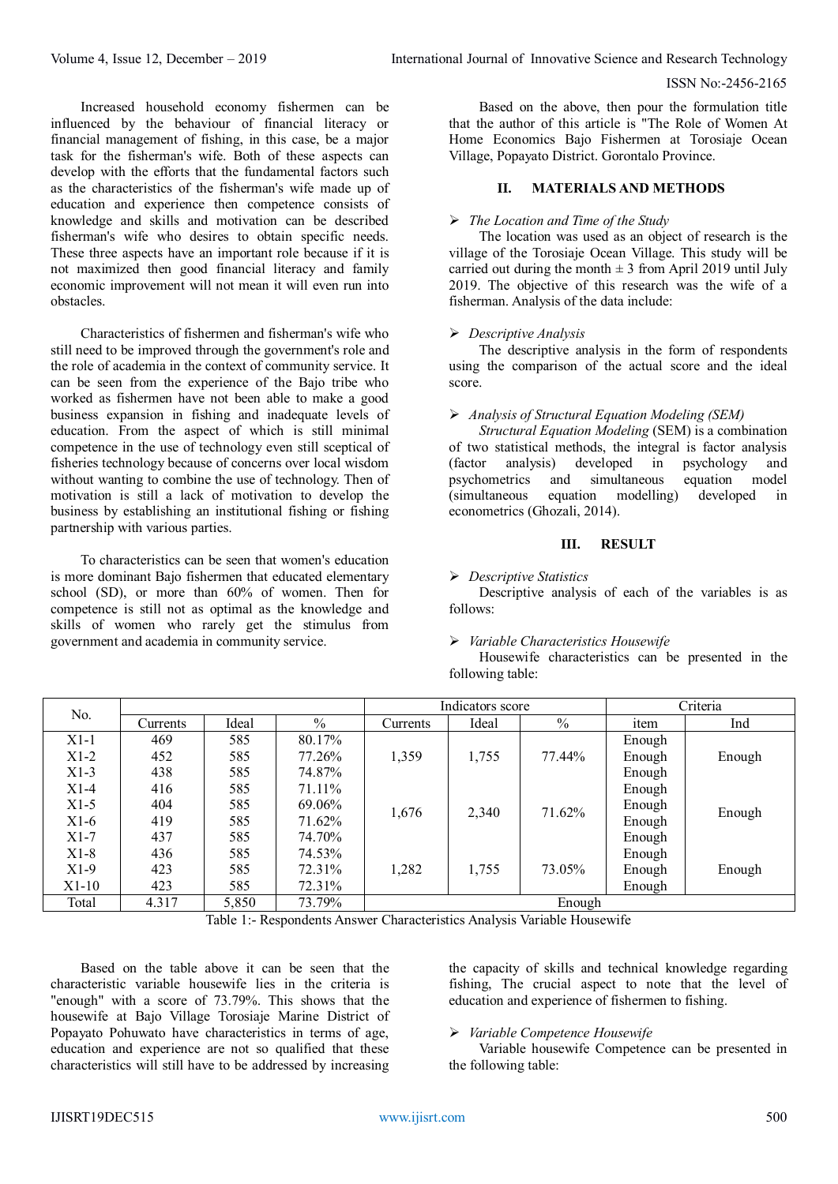Increased household economy fishermen can be influenced by the behaviour of financial literacy or financial management of fishing, in this case, be a major task for the fisherman's wife. Both of these aspects can develop with the efforts that the fundamental factors such as the characteristics of the fisherman's wife made up of education and experience then competence consists of knowledge and skills and motivation can be described fisherman's wife who desires to obtain specific needs. These three aspects have an important role because if it is not maximized then good financial literacy and family economic improvement will not mean it will even run into obstacles.

Characteristics of fishermen and fisherman's wife who still need to be improved through the government's role and the role of academia in the context of community service. It can be seen from the experience of the Bajo tribe who worked as fishermen have not been able to make a good business expansion in fishing and inadequate levels of education. From the aspect of which is still minimal competence in the use of technology even still sceptical of fisheries technology because of concerns over local wisdom without wanting to combine the use of technology. Then of motivation is still a lack of motivation to develop the business by establishing an institutional fishing or fishing partnership with various parties.

To characteristics can be seen that women's education is more dominant Bajo fishermen that educated elementary school (SD), or more than 60% of women. Then for competence is still not as optimal as the knowledge and skills of women who rarely get the stimulus from government and academia in community service.

Based on the above, then pour the formulation title that the author of this article is "The Role of Women At Home Economics Bajo Fishermen at Torosiaje Ocean Village, Popayato District. Gorontalo Province.

# **II. MATERIALS AND METHODS**

## *The Location and Time of the Study*

The location was used as an object of research is the village of the Torosiaje Ocean Village. This study will be carried out during the month  $\pm$  3 from April 2019 until July 2019. The objective of this research was the wife of a fisherman. Analysis of the data include:

## *Descriptive Analysis*

The descriptive analysis in the form of respondents using the comparison of the actual score and the ideal score.

## *Analysis of Structural Equation Modeling (SEM)*

*Structural Equation Modeling* (SEM) is a combination of two statistical methods, the integral is factor analysis (factor analysis) developed in psychology and psychometrics and simultaneous equation model (simultaneous equation modelling) developed in econometrics (Ghozali, 2014).

## **III. RESULT**

## *Descriptive Statistics*

Descriptive analysis of each of the variables is as follows:

## *Variable Characteristics Housewife*

Housewife characteristics can be presented in the following table:

| No.     |          |       |               | Indicators score |       | Criteria      |        |        |  |
|---------|----------|-------|---------------|------------------|-------|---------------|--------|--------|--|
|         | Currents | Ideal | $\frac{0}{0}$ | Currents         | Ideal | $\frac{0}{0}$ | item   | Ind    |  |
| $X1-1$  | 469      | 585   | 80.17%        |                  |       |               | Enough |        |  |
| $X1-2$  | 452      | 585   | 77.26%        | 1,359            | 1,755 | 77.44%        | Enough | Enough |  |
| $X1-3$  | 438      | 585   | 74.87%        |                  |       |               | Enough |        |  |
| $X1-4$  | 416      | 585   | 71.11%        | 1,676            | 2,340 | 71.62%        | Enough | Enough |  |
| $X1-5$  | 404      | 585   | 69.06%        |                  |       |               | Enough |        |  |
| $X1-6$  | 419      | 585   | 71.62%        |                  |       |               | Enough |        |  |
| $X1-7$  | 437      | 585   | 74.70%        |                  |       |               | Enough |        |  |
| $X1-8$  | 436      | 585   | 74.53%        |                  |       |               | Enough |        |  |
| $X1-9$  | 423      | 585   | 72.31%        | 1,282            | 1,755 | 73.05%        | Enough | Enough |  |
| $X1-10$ | 423      | 585   | 72.31%        |                  |       |               | Enough |        |  |
| Total   | 4.317    | 5,850 | 73.79%        | Enough           |       |               |        |        |  |

Table 1:- Respondents Answer Characteristics Analysis Variable Housewife

Based on the table above it can be seen that the characteristic variable housewife lies in the criteria is "enough" with a score of 73.79%. This shows that the housewife at Bajo Village Torosiaje Marine District of Popayato Pohuwato have characteristics in terms of age, education and experience are not so qualified that these characteristics will still have to be addressed by increasing

the capacity of skills and technical knowledge regarding fishing, The crucial aspect to note that the level of education and experience of fishermen to fishing.

## *Variable Competence Housewife*

Variable housewife Competence can be presented in the following table: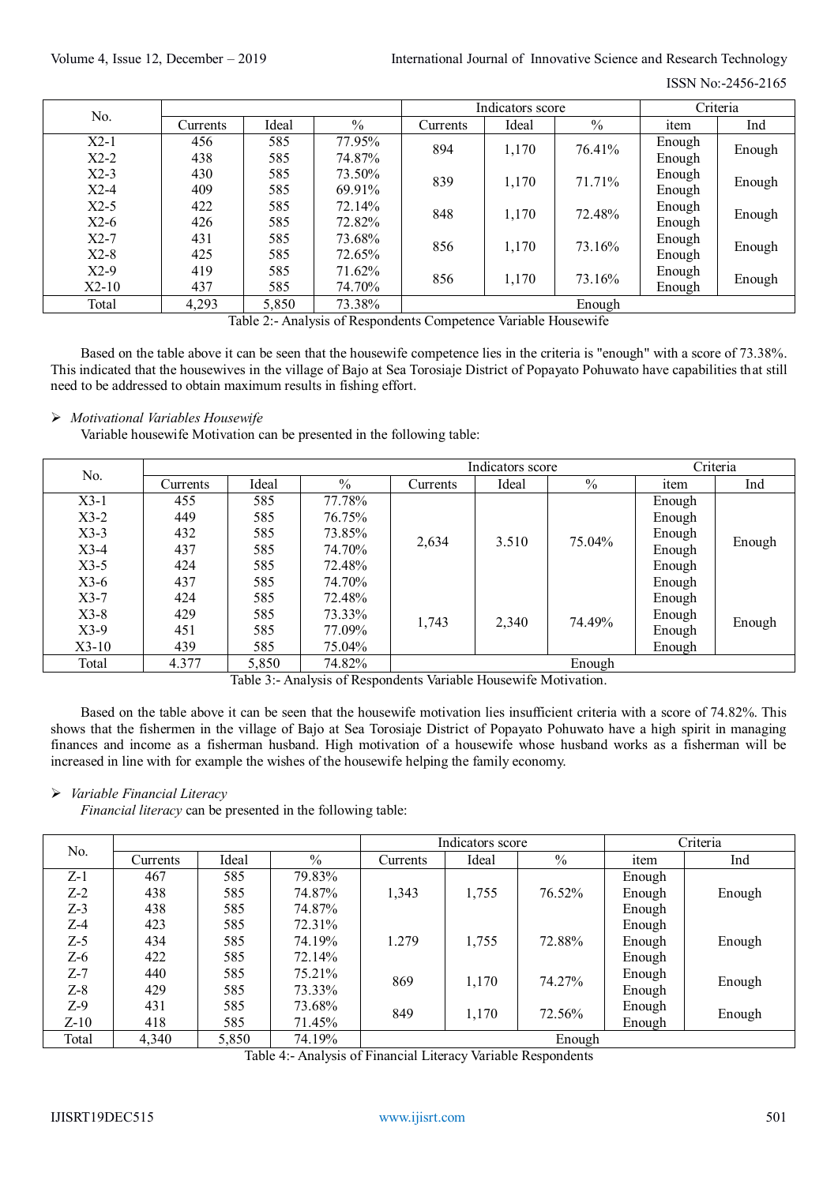| No.     |          |       |        |          | Indicators score | Criteria      |        |        |
|---------|----------|-------|--------|----------|------------------|---------------|--------|--------|
|         | Currents | Ideal | $\%$   | Currents | Ideal            | $\frac{0}{0}$ | item   | Ind    |
| $X2-1$  | 456      | 585   | 77.95% | 894      | 1,170            | 76.41%        | Enough |        |
| $X2-2$  | 438      | 585   | 74.87% |          |                  |               | Enough | Enough |
| $X2-3$  | 430      | 585   | 73.50% | 839      | 1,170            | 71.71%        | Enough |        |
| $X2-4$  | 409      | 585   | 69.91% |          |                  |               | Enough | Enough |
| $X2-5$  | 422      | 585   | 72.14% | 848      | 1,170            | 72.48%        | Enough | Enough |
| $X2-6$  | 426      | 585   | 72.82% |          |                  |               | Enough |        |
| $X2-7$  | 431      | 585   | 73.68% | 856      | 1,170            | 73.16%        | Enough |        |
| $X2-8$  | 425      | 585   | 72.65% |          |                  |               | Enough | Enough |
| $X2-9$  | 419      | 585   | 71.62% | 856      | 1,170            | 73.16%        | Enough |        |
| $X2-10$ | 437      | 585   | 74.70% |          |                  |               | Enough | Enough |
| Total   | 4,293    | 5,850 | 73.38% |          |                  | Enough        |        |        |

Table 2:- Analysis of Respondents Competence Variable Housewife

Based on the table above it can be seen that the housewife competence lies in the criteria is "enough" with a score of 73.38%. This indicated that the housewives in the village of Bajo at Sea Torosiaje District of Popayato Pohuwato have capabilities that still need to be addressed to obtain maximum results in fishing effort.

*Motivational Variables Housewife*

Variable housewife Motivation can be presented in the following table:

| No.     |          |       |        | Indicators score |       |        | Criteria |        |
|---------|----------|-------|--------|------------------|-------|--------|----------|--------|
|         | Currents | Ideal | $\%$   | Currents         | Ideal | $\%$   | item     | Ind    |
| $X3-1$  | 455      | 585   | 77.78% |                  |       |        | Enough   |        |
| $X3-2$  | 449      | 585   | 76.75% |                  |       |        | Enough   |        |
| $X3-3$  | 432      | 585   | 73.85% | 2,634            | 3.510 | 75.04% | Enough   | Enough |
| $X3-4$  | 437      | 585   | 74.70% |                  |       |        | Enough   |        |
| $X3-5$  | 424      | 585   | 72.48% |                  |       |        | Enough   |        |
| $X3-6$  | 437      | 585   | 74.70% |                  |       |        | Enough   |        |
| $X3-7$  | 424      | 585   | 72.48% |                  |       |        | Enough   |        |
| $X3-8$  | 429      | 585   | 73.33% | 1,743            |       | 74.49% | Enough   | Enough |
| $X3-9$  | 451      | 585   | 77.09% |                  | 2,340 | Enough |          |        |
| $X3-10$ | 439      | 585   | 75.04% |                  |       |        | Enough   |        |
| Total   | 4.377    | 5,850 | 74.82% | Enough           |       |        |          |        |

Table 3:- Analysis of Respondents Variable Housewife Motivation.

Based on the table above it can be seen that the housewife motivation lies insufficient criteria with a score of 74.82%. This shows that the fishermen in the village of Bajo at Sea Torosiaje District of Popayato Pohuwato have a high spirit in managing finances and income as a fisherman husband. High motivation of a housewife whose husband works as a fisherman will be increased in line with for example the wishes of the housewife helping the family economy.

# *Variable Financial Literacy*

*Financial literacy* can be presented in the following table:

| No.    |          |       |               |          | Indicators score |                 |        | Criteria |  |
|--------|----------|-------|---------------|----------|------------------|-----------------|--------|----------|--|
|        | Currents | Ideal | $\frac{0}{0}$ | Currents | Ideal            | $\frac{0}{0}$   | item   | Ind      |  |
| $Z-1$  | 467      | 585   | 79.83%        |          |                  |                 | Enough |          |  |
| $Z-2$  | 438      | 585   | 74.87%        | 1,343    | 1,755            | 76.52%          | Enough | Enough   |  |
| $Z-3$  | 438      | 585   | 74.87%        |          |                  |                 | Enough |          |  |
| Z-4    | 423      | 585   | 72.31%        |          |                  |                 | Enough |          |  |
| $Z-5$  | 434      | 585   | 74.19%        | 1.279    | 1,755            | 72.88%          | Enough | Enough   |  |
| $Z-6$  | 422      | 585   | 72.14%        |          |                  |                 | Enough |          |  |
| $Z-7$  | 440      | 585   | 75.21%        | 869      |                  | 1,170<br>74.27% | Enough |          |  |
| $Z-8$  | 429      | 585   | 73.33%        |          |                  |                 | Enough | Enough   |  |
| $Z-9$  | 431      | 585   | 73.68%        | 849      |                  | 72.56%          | Enough |          |  |
| $Z-10$ | 418      | 585   | 71.45%        |          | 1,170            |                 | Enough | Enough   |  |
| Total  | 4,340    | 5,850 | 74.19%        | Enough   |                  |                 |        |          |  |

Table 4:- Analysis of Financial Literacy Variable Respondents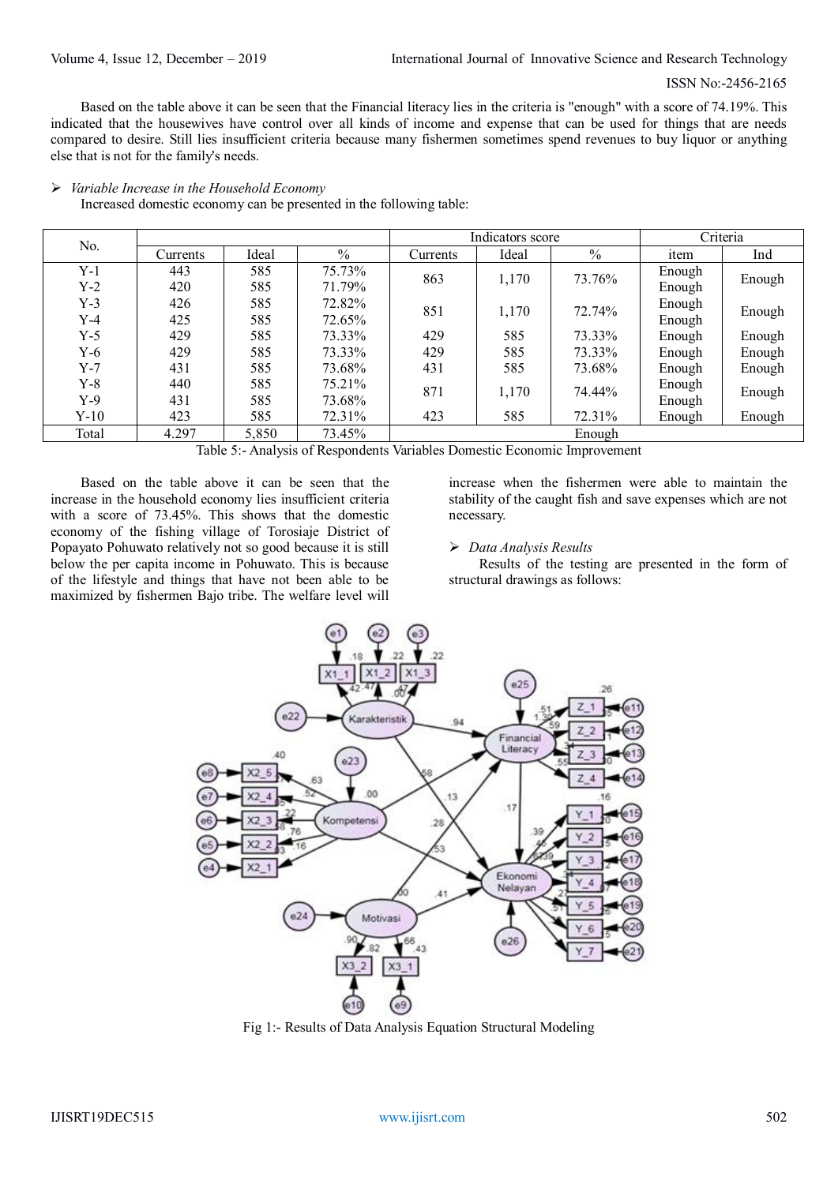#### Volume 4, Issue 12, December – 2019 **International Journal of Innovative Science and Research Technology**

ISSN No:-2456-2165

Based on the table above it can be seen that the Financial literacy lies in the criteria is "enough" with a score of 74.19%. This indicated that the housewives have control over all kinds of income and expense that can be used for things that are needs compared to desire. Still lies insufficient criteria because many fishermen sometimes spend revenues to buy liquor or anything else that is not for the family's needs.

#### *Variable Increase in the Household Economy*

Increased domestic economy can be presented in the following table:

| No.    |          |       |        | Indicators score |       |        | Criteria |        |
|--------|----------|-------|--------|------------------|-------|--------|----------|--------|
|        | Currents | Ideal | $\%$   | Currents         | Ideal | $\%$   | item     | Ind    |
| $Y-1$  | 443      | 585   | 75.73% | 863              | 1,170 |        | Enough   |        |
| $Y-2$  | 420      | 585   | 71.79% |                  |       | 73.76% | Enough   | Enough |
| $Y-3$  | 426      | 585   | 72.82% | 851              | 1,170 | 72.74% | Enough   |        |
| $Y-4$  | 425      | 585   | 72.65% |                  |       |        | Enough   | Enough |
| $Y-5$  | 429      | 585   | 73.33% | 429              | 585   | 73.33% | Enough   | Enough |
| Y-6    | 429      | 585   | 73.33% | 429              | 585   | 73.33% | Enough   | Enough |
| $Y-7$  | 431      | 585   | 73.68% | 431              | 585   | 73.68% | Enough   | Enough |
| $Y-8$  | 440      | 585   | 75.21% | 871              | 1,170 | 74.44% | Enough   |        |
| $Y-9$  | 431      | 585   | 73.68% |                  |       |        | Enough   | Enough |
| $Y-10$ | 423      | 585   | 72.31% | 423              | 585   | 72.31% | Enough   | Enough |
| Total  | 4.297    | 5,850 | 73.45% |                  |       | Enough |          |        |

Table 5:- Analysis of Respondents Variables Domestic Economic Improvement

Based on the table above it can be seen that the increase in the household economy lies insufficient criteria with a score of 73.45%. This shows that the domestic economy of the fishing village of Torosiaje District of Popayato Pohuwato relatively not so good because it is still below the per capita income in Pohuwato. This is because of the lifestyle and things that have not been able to be maximized by fishermen Bajo tribe. The welfare level will

increase when the fishermen were able to maintain the stability of the caught fish and save expenses which are not necessary.

#### *Data Analysis Results*

Results of the testing are presented in the form of structural drawings as follows:



Fig 1:- Results of Data Analysis Equation Structural Modeling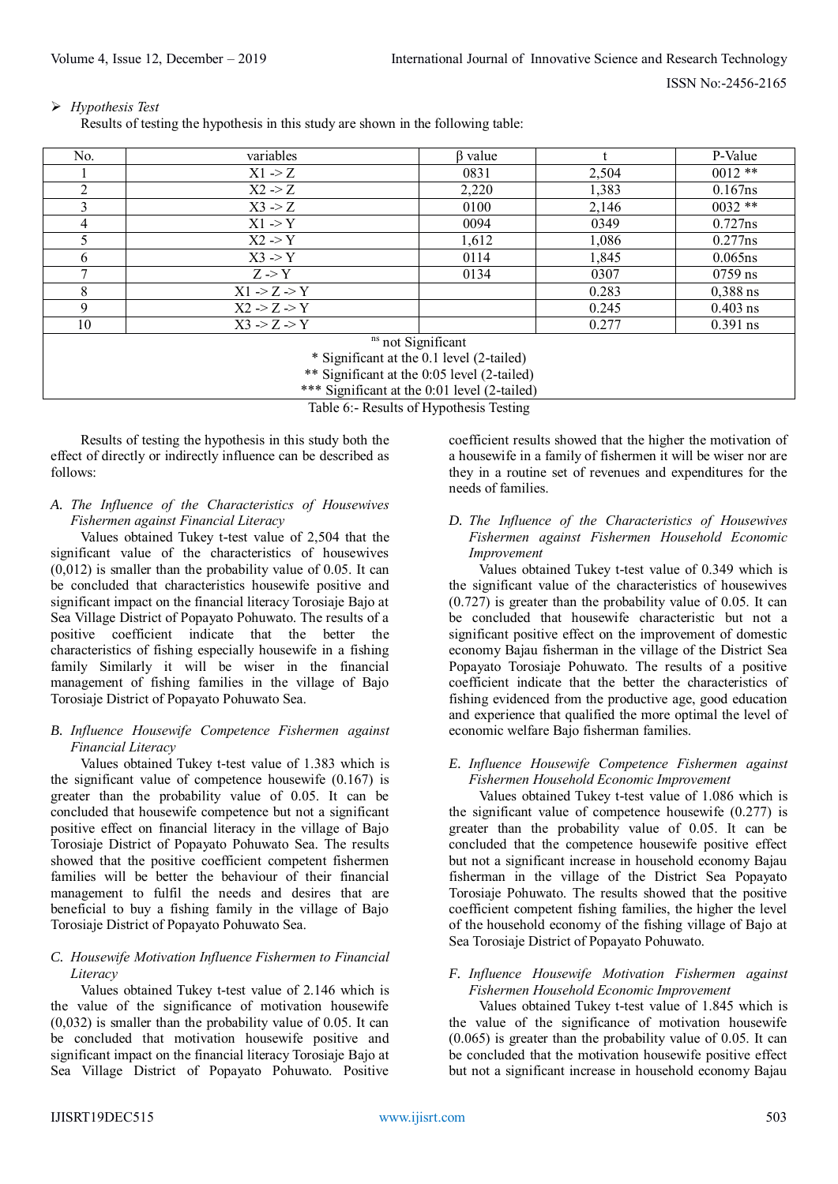## *Hypothesis Test*

Results of testing the hypothesis in this study are shown in the following table:

| No.                                         | variables                                    | $\beta$ value |       | P-Value    |  |  |  |  |  |
|---------------------------------------------|----------------------------------------------|---------------|-------|------------|--|--|--|--|--|
|                                             | $X1 \geq Z$                                  | 0831          | 2,504 | $0012**$   |  |  |  |  |  |
| 2                                           | $X2 \geq Z$                                  | 2,220         | 1,383 | $0.167$ ns |  |  |  |  |  |
| 3                                           | $X3 \geq Z$                                  | 0100          | 2,146 | $0032**$   |  |  |  |  |  |
| 4                                           | $X1 \rightarrow Y$                           | 0094          | 0349  | 0.727ns    |  |  |  |  |  |
| 5                                           | $X2 \rightarrow Y$                           | 1,612         | 1,086 | 0.277ns    |  |  |  |  |  |
| 6                                           | $X3 \rightarrow Y$                           | 0114          | 1,845 | $0.065$ ns |  |  |  |  |  |
| $\mathcal{I}$                               | $Z \rightarrow Y$                            | 0134          | 0307  | $0759$ ns  |  |  |  |  |  |
| 8                                           | $X1 \geq Z \geq Y$                           |               | 0.283 | $0,388$ ns |  |  |  |  |  |
| 9                                           | $X2 \geq Z \geq Y$                           |               | 0.245 | $0.403$ ns |  |  |  |  |  |
| 10                                          | $X3 - Z > Y$                                 |               | 0.277 | $0.391$ ns |  |  |  |  |  |
| <sup>ns</sup> not Significant               |                                              |               |       |            |  |  |  |  |  |
| * Significant at the 0.1 level (2-tailed)   |                                              |               |       |            |  |  |  |  |  |
| ** Significant at the 0:05 level (2-tailed) |                                              |               |       |            |  |  |  |  |  |
|                                             | *** Significant at the 0:01 level (2-tailed) |               |       |            |  |  |  |  |  |

Table 6:- Results of Hypothesis Testing

Results of testing the hypothesis in this study both the effect of directly or indirectly influence can be described as follows:

*A. The Influence of the Characteristics of Housewives Fishermen against Financial Literacy* 

Values obtained Tukey t-test value of 2,504 that the significant value of the characteristics of housewives  $(0,012)$  is smaller than the probability value of 0.05. It can be concluded that characteristics housewife positive and significant impact on the financial literacy Torosiaje Bajo at Sea Village District of Popayato Pohuwato. The results of a positive coefficient indicate that the better the characteristics of fishing especially housewife in a fishing family Similarly it will be wiser in the financial management of fishing families in the village of Bajo Torosiaje District of Popayato Pohuwato Sea.

#### *B. Influence Housewife Competence Fishermen against Financial Literacy*

Values obtained Tukey t-test value of 1.383 which is the significant value of competence housewife (0.167) is greater than the probability value of 0.05. It can be concluded that housewife competence but not a significant positive effect on financial literacy in the village of Bajo Torosiaje District of Popayato Pohuwato Sea. The results showed that the positive coefficient competent fishermen families will be better the behaviour of their financial management to fulfil the needs and desires that are beneficial to buy a fishing family in the village of Bajo Torosiaje District of Popayato Pohuwato Sea.

## *C. Housewife Motivation Influence Fishermen to Financial Literacy*

Values obtained Tukey t-test value of 2.146 which is the value of the significance of motivation housewife (0,032) is smaller than the probability value of 0.05. It can be concluded that motivation housewife positive and significant impact on the financial literacy Torosiaje Bajo at Sea Village District of Popayato Pohuwato. Positive

coefficient results showed that the higher the motivation of a housewife in a family of fishermen it will be wiser nor are they in a routine set of revenues and expenditures for the needs of families.

*D. The Influence of the Characteristics of Housewives Fishermen against Fishermen Household Economic Improvement*

Values obtained Tukey t-test value of 0.349 which is the significant value of the characteristics of housewives (0.727) is greater than the probability value of 0.05. It can be concluded that housewife characteristic but not a significant positive effect on the improvement of domestic economy Bajau fisherman in the village of the District Sea Popayato Torosiaje Pohuwato. The results of a positive coefficient indicate that the better the characteristics of fishing evidenced from the productive age, good education and experience that qualified the more optimal the level of economic welfare Bajo fisherman families.

# *E. Influence Housewife Competence Fishermen against Fishermen Household Economic Improvement*

Values obtained Tukey t-test value of 1.086 which is the significant value of competence housewife (0.277) is greater than the probability value of 0.05. It can be concluded that the competence housewife positive effect but not a significant increase in household economy Bajau fisherman in the village of the District Sea Popayato Torosiaje Pohuwato. The results showed that the positive coefficient competent fishing families, the higher the level of the household economy of the fishing village of Bajo at Sea Torosiaje District of Popayato Pohuwato.

#### *F. Influence Housewife Motivation Fishermen against Fishermen Household Economic Improvement*

Values obtained Tukey t-test value of 1.845 which is the value of the significance of motivation housewife (0.065) is greater than the probability value of 0.05. It can be concluded that the motivation housewife positive effect but not a significant increase in household economy Bajau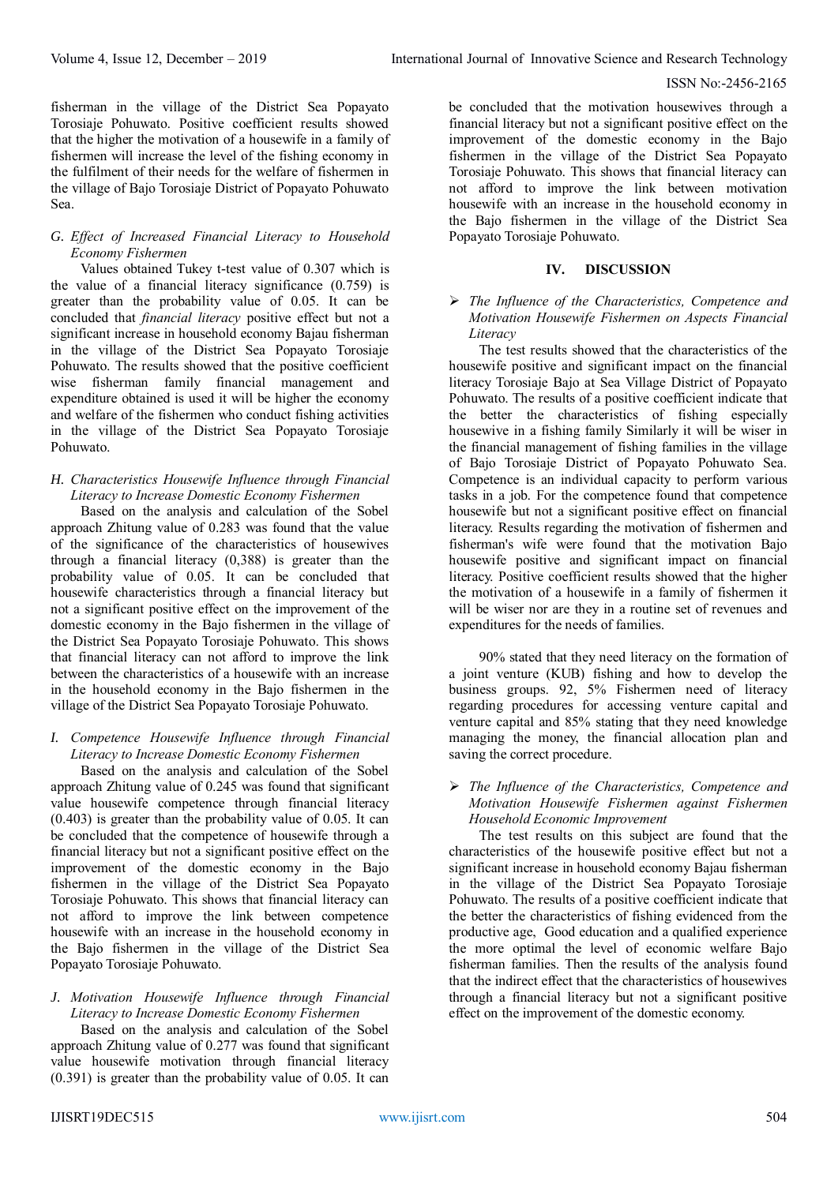fisherman in the village of the District Sea Popayato Torosiaje Pohuwato. Positive coefficient results showed that the higher the motivation of a housewife in a family of fishermen will increase the level of the fishing economy in the fulfilment of their needs for the welfare of fishermen in the village of Bajo Torosiaje District of Popayato Pohuwato Sea.

## *G. Effect of Increased Financial Literacy to Household Economy Fishermen*

Values obtained Tukey t-test value of 0.307 which is the value of a financial literacy significance (0.759) is greater than the probability value of 0.05. It can be concluded that *financial literacy* positive effect but not a significant increase in household economy Bajau fisherman in the village of the District Sea Popayato Torosiaje Pohuwato. The results showed that the positive coefficient wise fisherman family financial management and expenditure obtained is used it will be higher the economy and welfare of the fishermen who conduct fishing activities in the village of the District Sea Popayato Torosiaje Pohuwato.

## *H. Characteristics Housewife Influence through Financial Literacy to Increase Domestic Economy Fishermen*

Based on the analysis and calculation of the Sobel approach Zhitung value of 0.283 was found that the value of the significance of the characteristics of housewives through a financial literacy (0,388) is greater than the probability value of 0.05. It can be concluded that housewife characteristics through a financial literacy but not a significant positive effect on the improvement of the domestic economy in the Bajo fishermen in the village of the District Sea Popayato Torosiaje Pohuwato. This shows that financial literacy can not afford to improve the link between the characteristics of a housewife with an increase in the household economy in the Bajo fishermen in the village of the District Sea Popayato Torosiaje Pohuwato.

#### *I. Competence Housewife Influence through Financial Literacy to Increase Domestic Economy Fishermen*

Based on the analysis and calculation of the Sobel approach Zhitung value of 0.245 was found that significant value housewife competence through financial literacy (0.403) is greater than the probability value of 0.05. It can be concluded that the competence of housewife through a financial literacy but not a significant positive effect on the improvement of the domestic economy in the Bajo fishermen in the village of the District Sea Popayato Torosiaje Pohuwato. This shows that financial literacy can not afford to improve the link between competence housewife with an increase in the household economy in the Bajo fishermen in the village of the District Sea Popayato Torosiaje Pohuwato.

#### *J. Motivation Housewife Influence through Financial Literacy to Increase Domestic Economy Fishermen*

Based on the analysis and calculation of the Sobel approach Zhitung value of 0.277 was found that significant value housewife motivation through financial literacy (0.391) is greater than the probability value of 0.05. It can

be concluded that the motivation housewives through a financial literacy but not a significant positive effect on the improvement of the domestic economy in the Bajo fishermen in the village of the District Sea Popayato Torosiaje Pohuwato. This shows that financial literacy can not afford to improve the link between motivation housewife with an increase in the household economy in the Bajo fishermen in the village of the District Sea Popayato Torosiaje Pohuwato.

## **IV. DISCUSSION**

## *The Influence of the Characteristics, Competence and Motivation Housewife Fishermen on Aspects Financial Literacy*

The test results showed that the characteristics of the housewife positive and significant impact on the financial literacy Torosiaje Bajo at Sea Village District of Popayato Pohuwato. The results of a positive coefficient indicate that the better the characteristics of fishing especially housewive in a fishing family Similarly it will be wiser in the financial management of fishing families in the village of Bajo Torosiaje District of Popayato Pohuwato Sea. Competence is an individual capacity to perform various tasks in a job. For the competence found that competence housewife but not a significant positive effect on financial literacy. Results regarding the motivation of fishermen and fisherman's wife were found that the motivation Bajo housewife positive and significant impact on financial literacy. Positive coefficient results showed that the higher the motivation of a housewife in a family of fishermen it will be wiser nor are they in a routine set of revenues and expenditures for the needs of families.

90% stated that they need literacy on the formation of a joint venture (KUB) fishing and how to develop the business groups. 92, 5% Fishermen need of literacy regarding procedures for accessing venture capital and venture capital and 85% stating that they need knowledge managing the money, the financial allocation plan and saving the correct procedure.

## *The Influence of the Characteristics, Competence and Motivation Housewife Fishermen against Fishermen Household Economic Improvement*

The test results on this subject are found that the characteristics of the housewife positive effect but not a significant increase in household economy Bajau fisherman in the village of the District Sea Popayato Torosiaje Pohuwato. The results of a positive coefficient indicate that the better the characteristics of fishing evidenced from the productive age, Good education and a qualified experience the more optimal the level of economic welfare Bajo fisherman families. Then the results of the analysis found that the indirect effect that the characteristics of housewives through a financial literacy but not a significant positive effect on the improvement of the domestic economy.